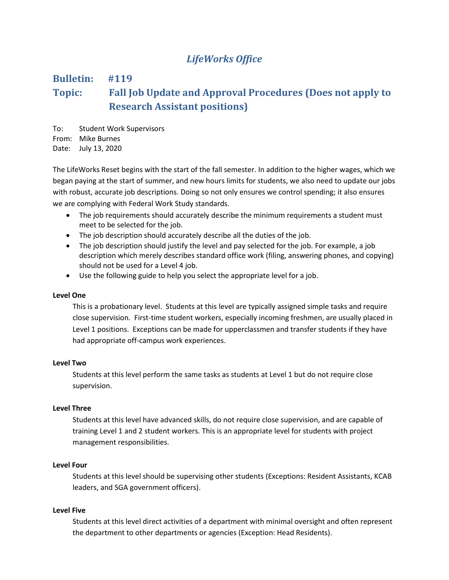## *LifeWorks Office*

# **Bulletin: #119 Topic: Fall Job Update and Approval Procedures (Does not apply to Research Assistant positions)**

To: Student Work Supervisors From: Mike Burnes Date: July 13, 2020

The LifeWorks Reset begins with the start of the fall semester. In addition to the higher wages, which we began paying at the start of summer, and new hours limits for students, we also need to update our jobs with robust, accurate job descriptions. Doing so not only ensures we control spending; it also ensures we are complying with Federal Work Study standards.

- The job requirements should accurately describe the minimum requirements a student must meet to be selected for the job.
- The job description should accurately describe all the duties of the job.
- The job description should justify the level and pay selected for the job. For example, a job description which merely describes standard office work (filing, answering phones, and copying) should not be used for a Level 4 job.
- Use the following guide to help you select the appropriate level for a job.

## **Level One**

This is a probationary level. Students at this level are typically assigned simple tasks and require close supervision. First-time student workers, especially incoming freshmen, are usually placed in Level 1 positions. Exceptions can be made for upperclassmen and transfer students if they have had appropriate off-campus work experiences.

## **Level Two**

Students at this level perform the same tasks as students at Level 1 but do not require close supervision.

## **Level Three**

Students at this level have advanced skills, do not require close supervision, and are capable of training Level 1 and 2 student workers. This is an appropriate level for students with project management responsibilities.

#### **Level Four**

Students at this level should be supervising other students (Exceptions: Resident Assistants, KCAB leaders, and SGA government officers).

#### **Level Five**

Students at this level direct activities of a department with minimal oversight and often represent the department to other departments or agencies (Exception: Head Residents).